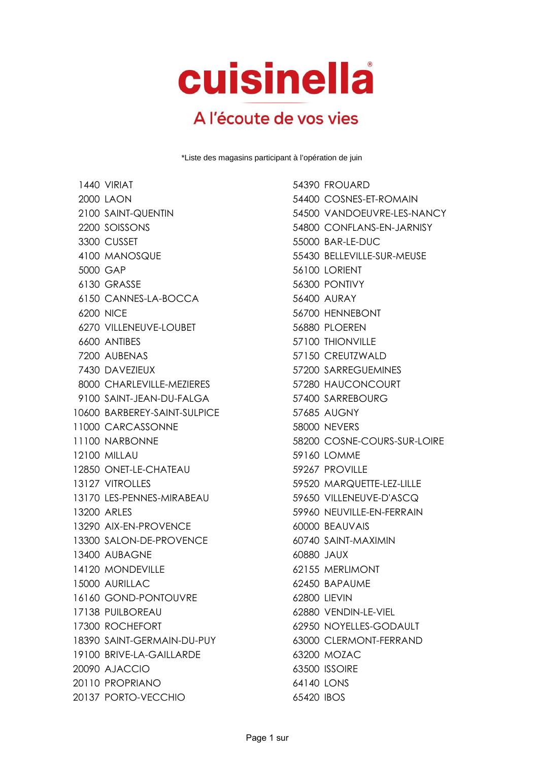## cuisinella

## A l'écoute de vos vies

\*Liste des magasins participant à l'opération de juin

1440 VIRIAT 654390 FROUARD LAON 54400 COSNES-ET-ROMAIN SOISSONS 54800 CONFLANS-EN-JARNISY CUSSET 55000 BAR-LE-DUC MANOSQUE 55430 BELLEVILLE-SUR-MEUSE GAP 56100 LORIENT GRASSE 56300 PONTIVY CANNES-LA-BOCCA 56400 AURAY NICE 56700 HENNEBONT VILLENEUVE-LOUBET 56880 PLOEREN ANTIBES 57100 THIONVILLE AUBENAS 57150 CREUTZWALD DAVEZIEUX 57200 SARREGUEMINES CHARLEVILLE-MEZIERES 57280 HAUCONCOURT 9100 SAINT-JEAN-DU-FALGA 57400 SARREBOURG BARBEREY-SAINT-SULPICE 57685 AUGNY 11000 CARCASSONNE 58000 NEVERS 12100 MILLAU 69160 LOMME 12850 ONET-LE-CHATEAU 59267 PROVILLE VITROLLES 59520 MARQUETTE-LEZ-LILLE LES-PENNES-MIRABEAU 59650 VILLENEUVE-D'ASCQ ARLES 59960 NEUVILLE-EN-FERRAIN 13290 AIX-FN-PROVENCE 60000 BEAUVAIS SALON-DE-PROVENCE 60740 SAINT-MAXIMIN AUBAGNE 60880 JAUX MONDEVILLE 62155 MERLIMONT 15000 AURILLAC 62450 BAPAUME 16160 GOND-PONTOUVRE 62800 LIEVIN PUILBOREAU 62880 VENDIN-LE-VIEL ROCHEFORT 62950 NOYELLES-GODAULT 18390 SAINT-GFRMAIN-DU-PUY 63000 CLERMONT-FERRAND 19100 BRIVE-LA-GAILLARDE 63200 MOZAC AJACCIO 63500 ISSOIRE PROPRIANO 64140 LONS PORTO-VECCHIO 65420 IBOS

 SAINT-QUENTIN 54500 VANDOEUVRE-LES-NANCY 11100 NARBONNE 58200 COSNE-COURS-SUR-LOIRE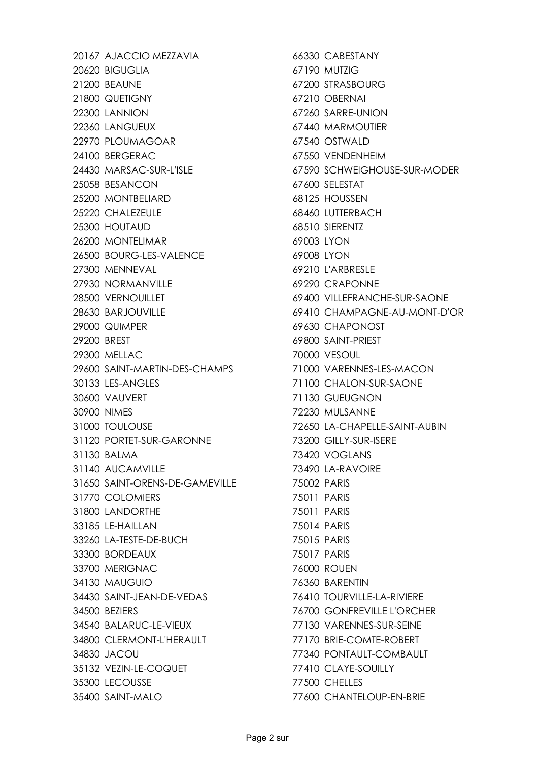20167 AJACCIO MEZZAVIA 66330 CABESTANY BIGUGLIA 67190 MUTZIG 21200 BEAUNE 67200 STRASBOURG QUETIGNY 67210 OBERNAI LANNION 67260 SARRE-UNION LANGUEUX 67440 MARMOUTIER 22970 PLOUMAGOAR 67540 OSTWALD 24100 BERGERAC 67550 VENDENHEIM MARSAC-SUR-L'ISLE 67590 SCHWEIGHOUSE-SUR-MODER BESANCON 67600 SELESTAT MONTBELIARD 68125 HOUSSEN 25220 CHALEZEULE 68460 LUTTERBACH HOUTAUD 68510 SIERENTZ MONTELIMAR 69003 LYON 26500 BOURG-LES-VALENCE 69008 LYON 27300 MENNEVAL 69210 L'ARBRESLE 27930 NORMANVILLE 69290 CRAPONNE VERNOUILLET 69400 VILLEFRANCHE-SUR-SAONE BARJOUVILLE 69410 CHAMPAGNE-AU-MONT-D'OR QUIMPER 69630 CHAPONOST BREST 69800 SAINT-PRIEST MELLAC 70000 VESOUL 29600 SAINT-MARTIN-DES-CHAMPS 71000 VARENNES-LES-MACON LES-ANGLES 71100 CHALON-SUR-SAONE VAUVERT 71130 GUEUGNON NIMES 72230 MULSANNE TOULOUSE 72650 LA-CHAPELLE-SAINT-AUBIN PORTET-SUR-GARONNE 73200 GILLY-SUR-ISERE BALMA 73420 VOGLANS 31140 AUCAMVILLE 73490 LA-RAVOIRE SAINT-ORENS-DE-GAMEVILLE 75002 PARIS COLOMIERS 75011 PARIS LANDORTHE 75011 PARIS LE-HAILLAN 75014 PARIS LA-TESTE-DE-BUCH 75015 PARIS BORDEAUX 75017 PARIS MERIGNAC 76000 ROUEN MAUGUIO 76360 BARENTIN SAINT-JEAN-DE-VEDAS 76410 TOURVILLE-LA-RIVIERE BEZIERS 76700 GONFREVILLE L'ORCHER BALARUC-LE-VIEUX 77130 VARENNES-SUR-SEINE CLERMONT-L'HERAULT 77170 BRIE-COMTE-ROBERT JACOU 77340 PONTAULT-COMBAULT VEZIN-LE-COQUET 77410 CLAYE-SOUILLY LECOUSSE 77500 CHELLES

SAINT-MALO 77600 CHANTELOUP-EN-BRIE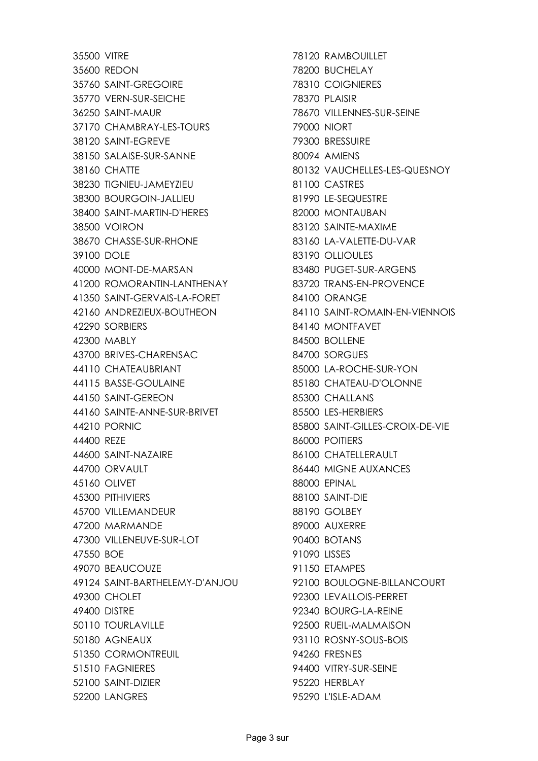VITRE 78120 RAMBOUILLET REDON 78200 BUCHELAY SAINT-GREGOIRE 78310 COIGNIERES VERN-SUR-SEICHE 78370 PLAISIR SAINT-MAUR 78670 VILLENNES-SUR-SEINE 37170 CHAMBRAY-LES-TOURS 79000 NIORT SAINT-EGREVE 79300 BRESSUIRE 38150 SALAISE-SUR-SANNE 80094 AMIENS CHATTE 80132 VAUCHELLES-LES-QUESNOY TIGNIEU-JAMEYZIEU 81100 CASTRES BOURGOIN-JALLIEU 81990 LE-SEQUESTRE 38400 SAINT-MARTIN-D'HERES 82000 MONTAUBAN VOIRON 83120 SAINTE-MAXIME CHASSE-SUR-RHONE 83160 LA-VALETTE-DU-VAR DOLE 83190 OLLIOULES MONT-DE-MARSAN 83480 PUGET-SUR-ARGENS ROMORANTIN-LANTHENAY 83720 TRANS-EN-PROVENCE SAINT-GERVAIS-LA-FORET 84100 ORANGE ANDREZIEUX-BOUTHEON 84110 SAINT-ROMAIN-EN-VIENNOIS SORBIERS 84140 MONTFAVET MABLY 84500 BOLLENE BRIVES-CHARENSAC 84700 SORGUES CHATEAUBRIANT 85000 LA-ROCHE-SUR-YON BASSE-GOULAINE 85180 CHATEAU-D'OLONNE SAINT-GEREON 85300 CHALLANS SAINTE-ANNE-SUR-BRIVET 85500 LES-HERBIERS PORNIC 85800 SAINT-GILLES-CROIX-DE-VIE REZE 86000 POITIERS 44600 SAINT-NAZAIRE 86100 CHATELLERAULT ORVAULT 86440 MIGNE AUXANCES OLIVET 88000 EPINAL PITHIVIERS 88100 SAINT-DIE VILLEMANDEUR 88190 GOLBEY MARMANDE 89000 AUXERRE VILLENEUVE-SUR-LOT 90400 BOTANS BOE 91090 LISSES BEAUCOUZE 91150 ETAMPES SAINT-BARTHELEMY-D'ANJOU 92100 BOULOGNE-BILLANCOURT CHOLET 92300 LEVALLOIS-PERRET DISTRE 92340 BOURG-LA-REINE TOURLAVILLE 92500 RUEIL-MALMAISON AGNEAUX 93110 ROSNY-SOUS-BOIS CORMONTREUIL 94260 FRESNES FAGNIERES 94400 VITRY-SUR-SEINE SAINT-DIZIER 95220 HERBLAY LANGRES 95290 L'ISLE-ADAM